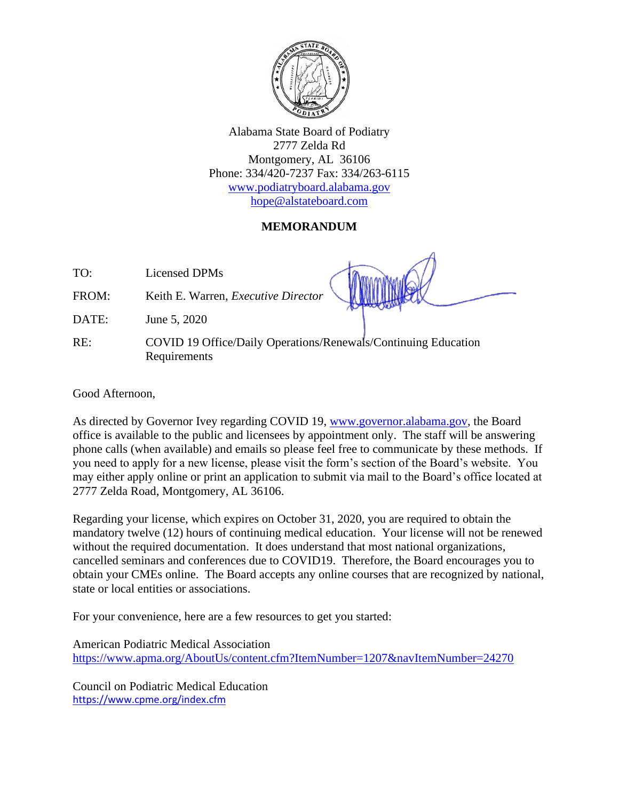

Alabama State Board of Podiatry 2777 Zelda Rd Montgomery, AL 36106 Phone: 334/420-7237 Fax: 334/263-6115 [www.podiatryboard.alabama.gov](http://www.podiatryboard.alabama.gov/) [hope@alstateboard.com](mailto:hope@alstateboard.com)

## **MEMORANDUM**

TO: Licensed DPMs

FROM: Keith E. Warren, *Executive Director* 

DATE: June 5, 2020

RE: COVID 19 Office/Daily Operations/Renewals/Continuing Education Requirements

Good Afternoon,

As directed by Governor Ivey regarding COVID 19, [www.governor.alabama.gov,](http://www.governor.alabama.gov/) the Board office is available to the public and licensees by appointment only. The staff will be answering phone calls (when available) and emails so please feel free to communicate by these methods. If you need to apply for a new license, please visit the form's section of the Board's website. You may either apply online or print an application to submit via mail to the Board's office located at 2777 Zelda Road, Montgomery, AL 36106.

Regarding your license, which expires on October 31, 2020, you are required to obtain the mandatory twelve (12) hours of continuing medical education. Your license will not be renewed without the required documentation. It does understand that most national organizations, cancelled seminars and conferences due to COVID19. Therefore, the Board encourages you to obtain your CMEs online. The Board accepts any online courses that are recognized by national, state or local entities or associations.

For your convenience, here are a few resources to get you started:

American Podiatric Medical Association <https://www.apma.org/AboutUs/content.cfm?ItemNumber=1207&navItemNumber=24270>

Council on Podiatric Medical Education <https://www.cpme.org/index.cfm>